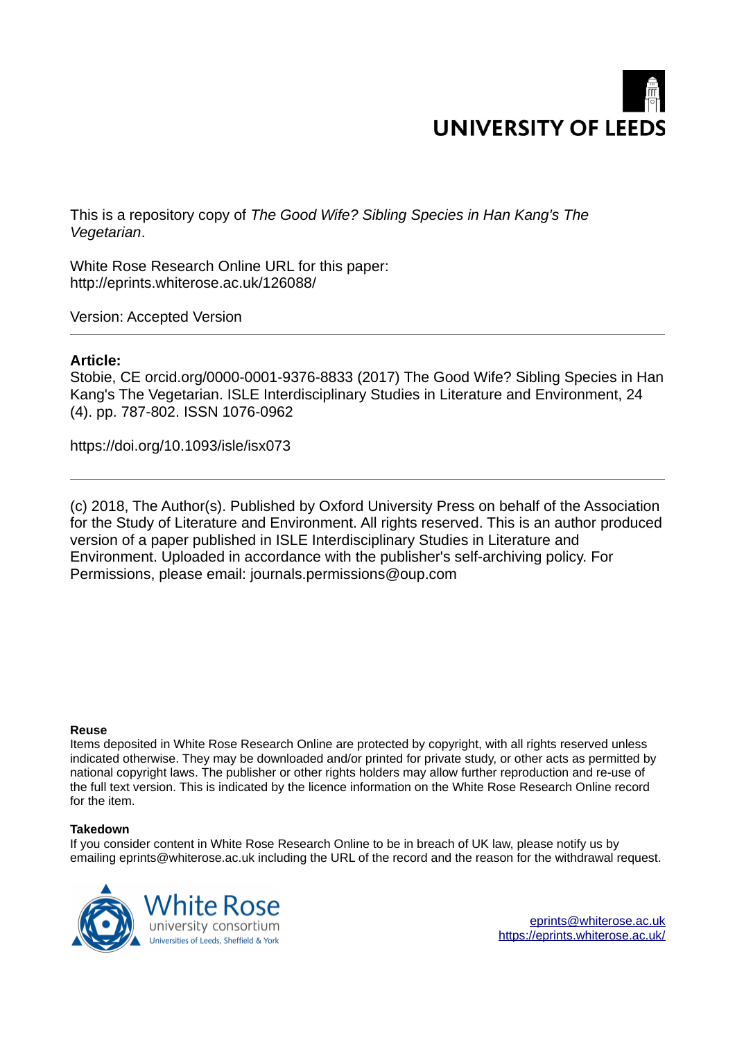

This is a repository copy of *The Good Wife? Sibling Species in Han Kang's The Vegetarian*.

White Rose Research Online URL for this paper: http://eprints.whiterose.ac.uk/126088/

Version: Accepted Version

## **Article:**

Stobie, CE orcid.org/0000-0001-9376-8833 (2017) The Good Wife? Sibling Species in Han Kang's The Vegetarian. ISLE Interdisciplinary Studies in Literature and Environment, 24 (4). pp. 787-802. ISSN 1076-0962

https://doi.org/10.1093/isle/isx073

(c) 2018, The Author(s). Published by Oxford University Press on behalf of the Association for the Study of Literature and Environment. All rights reserved. This is an author produced version of a paper published in ISLE Interdisciplinary Studies in Literature and Environment. Uploaded in accordance with the publisher's self-archiving policy. For Permissions, please email: journals.permissions@oup.com

### **Reuse**

Items deposited in White Rose Research Online are protected by copyright, with all rights reserved unless indicated otherwise. They may be downloaded and/or printed for private study, or other acts as permitted by national copyright laws. The publisher or other rights holders may allow further reproduction and re-use of the full text version. This is indicated by the licence information on the White Rose Research Online record for the item.

### **Takedown**

If you consider content in White Rose Research Online to be in breach of UK law, please notify us by emailing eprints@whiterose.ac.uk including the URL of the record and the reason for the withdrawal request.

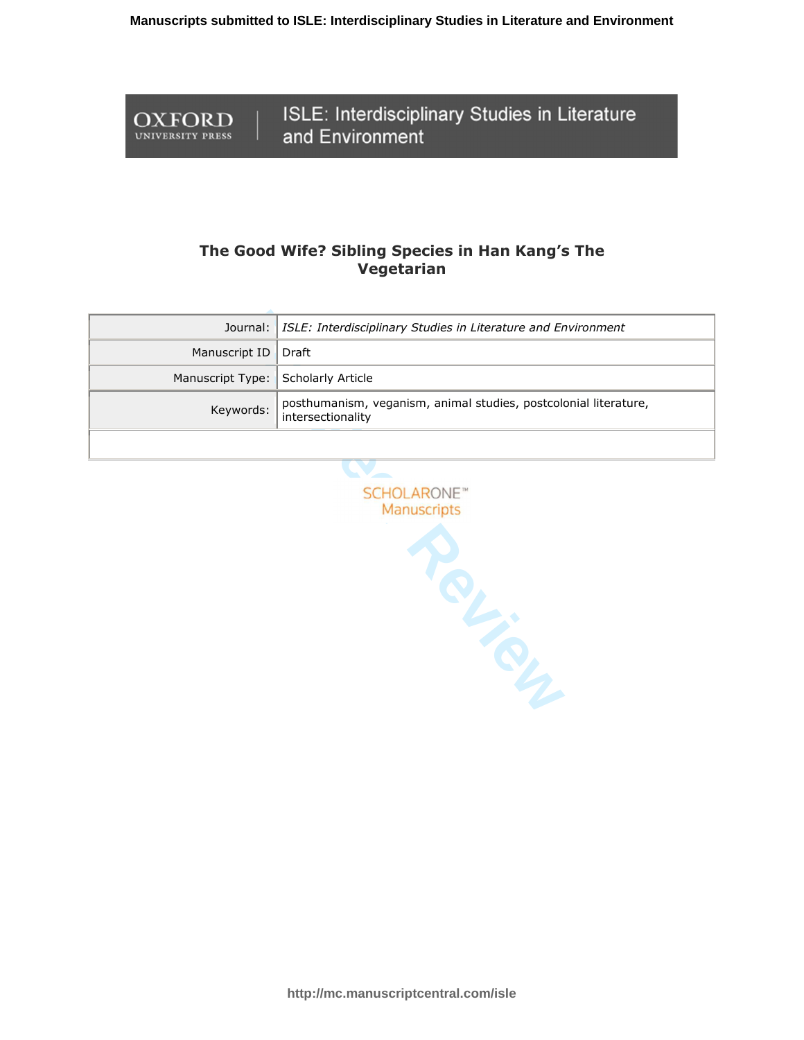OXFORD

**UNIVERSITY PRESS** 

ISLE: Interdisciplinary Studies in Literature and Environment

# The Good Wife? Sibling Species in Han Kang's The **Vegetarian**

|                                    | Journal:   ISLE: Interdisciplinary Studies in Literature and Environment                |
|------------------------------------|-----------------------------------------------------------------------------------------|
| Manuscript ID   Draft              |                                                                                         |
| Manuscript Type: Scholarly Article |                                                                                         |
| Keywords:                          | posthumanism, veganism, animal studies, postcolonial literature,<br>  intersectionality |
|                                    |                                                                                         |

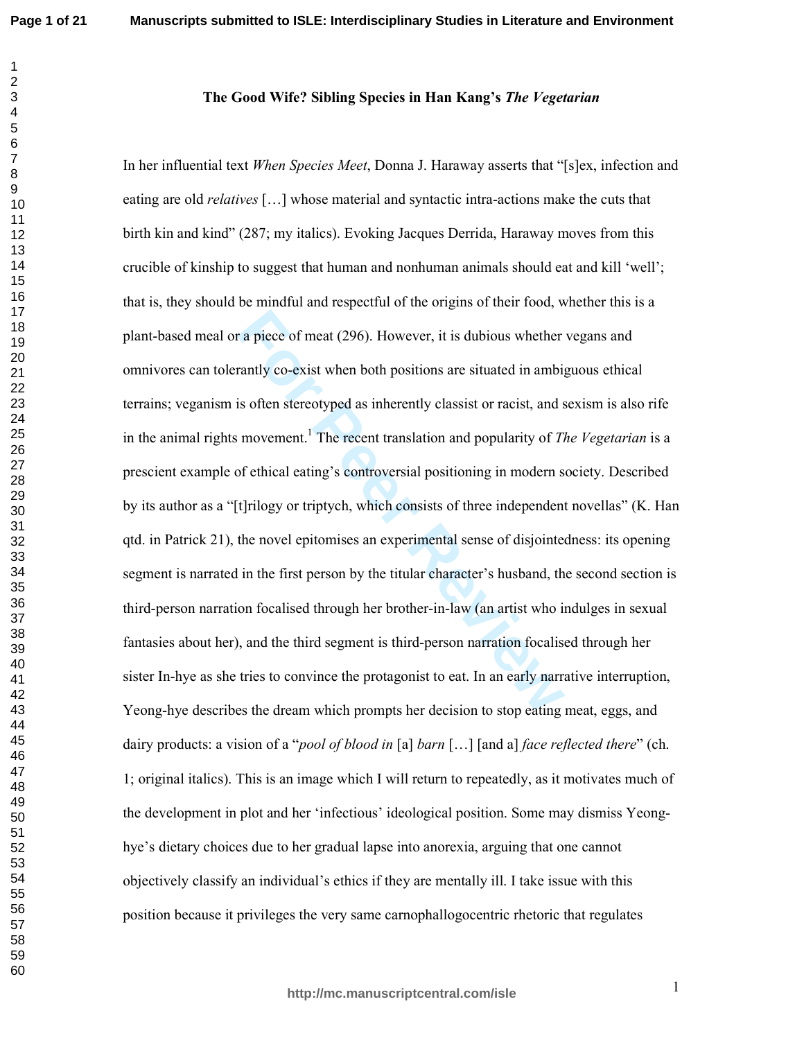### The Good Wife? Sibling Species in Han Kang's The Vegetarian

r a piece of meat (296). However, it is dubious whether<br>rantly co-exist when both positions are situated in ambig<br>is often stereotyped as inherently classist or racist, and s<br>movement.<sup>1</sup> The recent translation and popular In her influential text *When Species Meet*, Donna J. Haraway asserts that "[s]ex, infection and eating are old *relatives* [...] whose material and syntactic intra-actions make the cuts that birth kin and kind" (287; my italics). Evoking Jacques Derrida, Haraway moves from this crucible of kinship to suggest that human and nonhuman animals should eat and kill 'well'; that is, they should be mindful and respectful of the origins of their food, whether this is a plant-based meal or a piece of meat (296). However, it is dubious whether vegans and omnivores can tolerantly co-exist when both positions are situated in ambiguous ethical terrains; veganism is often stereotyped as inherently classist or racist, and sexism is also rife in the animal rights movement.<sup>1</sup> The recent translation and popularity of *The Vegetarian* is a prescient example of ethical eating's controversial positioning in modern society. Described by its author as a "[t]rilogy or triptych, which consists of three independent novellas" (K. Han qtd. in Patrick 21), the novel epitomises an experimental sense of disjointedness: its opening segment is narrated in the first person by the titular character's husband, the second section is third-person narration focalised through her brother-in-law (an artist who indulges in sexual fantasies about her), and the third segment is third-person narration focalised through her sister In-hye as she tries to convince the protagonist to eat. In an early narrative interruption, Yeong-hye describes the dream which prompts her decision to stop eating meat, eggs, and dairy products: a vision of a "*pool of blood in* [a] *barn* [...] [and a] *face reflected there*" (ch. 1; original italics). This is an image which I will return to repeatedly, as it motivates much of the development in plot and her 'infectious' ideological position. Some may dismiss Yeonghye's dietary choices due to her gradual lapse into anorexia, arguing that one cannot objectively classify an individual's ethics if they are mentally ill. I take issue with this position because it privileges the very same carnophallogocentric rhetoric that regulates

 $\mathbf{1}$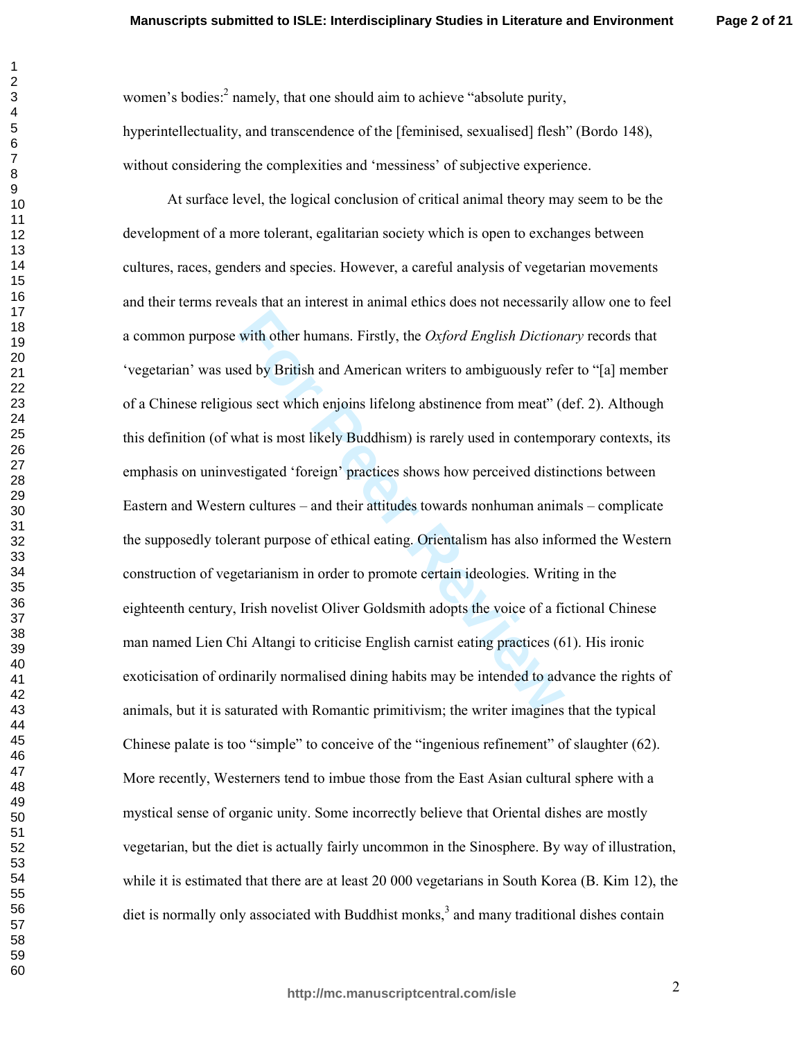women's bodies:<sup>2</sup> namely, that one should aim to achieve "absolute purity, hyperintellectuality, and transcendence of the [feminised, sexualised] flesh" (Bordo 148), without considering the complexities and 'messiness' of subjective experience.

with other humans. Firstly, the *Oxford English Diction*<br>ed by British and American writers to ambiguously refe<br>sus sect which enjoins lifelong abstinence from meat" (c<br>that is most likely Buddhism) is rarely used in conte At surface level, the logical conclusion of critical animal theory may seem to be the development of a more tolerant, egalitarian society which is open to exchanges between cultures, races, genders and species. However, a careful analysis of vegetarian movements and their terms reveals that an interest in animal ethics does not necessarily allow one to feel a common purpose with other humans. Firstly, the *Oxford English Dictionary* records that 'vegetarian' was used by British and American writers to ambiguously refer to "[a] member of a Chinese religious sect which enjoins lifelong abstinence from meat" (def. 2). Although this definition (of what is most likely Buddhism) is rarely used in contemporary contexts, its emphasis on uninvestigated 'foreign' practices shows how perceived distinctions between Eastern and Western cultures – and their attitudes towards nonhuman animals – complicate the supposedly tolerant purpose of ethical eating. Orientalism has also informed the Western construction of vegetarianism in order to promote certain ideologies. Writing in the eighteenth century, Irish novelist Oliver Goldsmith adopts the voice of a fictional Chinese man named Lien Chi Altangi to criticise English carnist eating practices (61). His ironic exoticisation of ordinarily normalised dining habits may be intended to advance the rights of animals, but it is saturated with Romantic primitivism; the writer imagines that the typical Chinese palate is too "simple" to conceive of the "ingenious refinement" of slaughter  $(62)$ . More recently, Westerners tend to imbue those from the East Asian cultural sphere with a mystical sense of organic unity. Some incorrectly believe that Oriental dishes are mostly vegetarian, but the diet is actually fairly uncommon in the Sinosphere. By way of illustration, while it is estimated that there are at least  $20000$  vegetarians in South Korea (B. Kim 12), the diet is normally only associated with Buddhist monks,<sup>3</sup> and many traditional dishes contain

%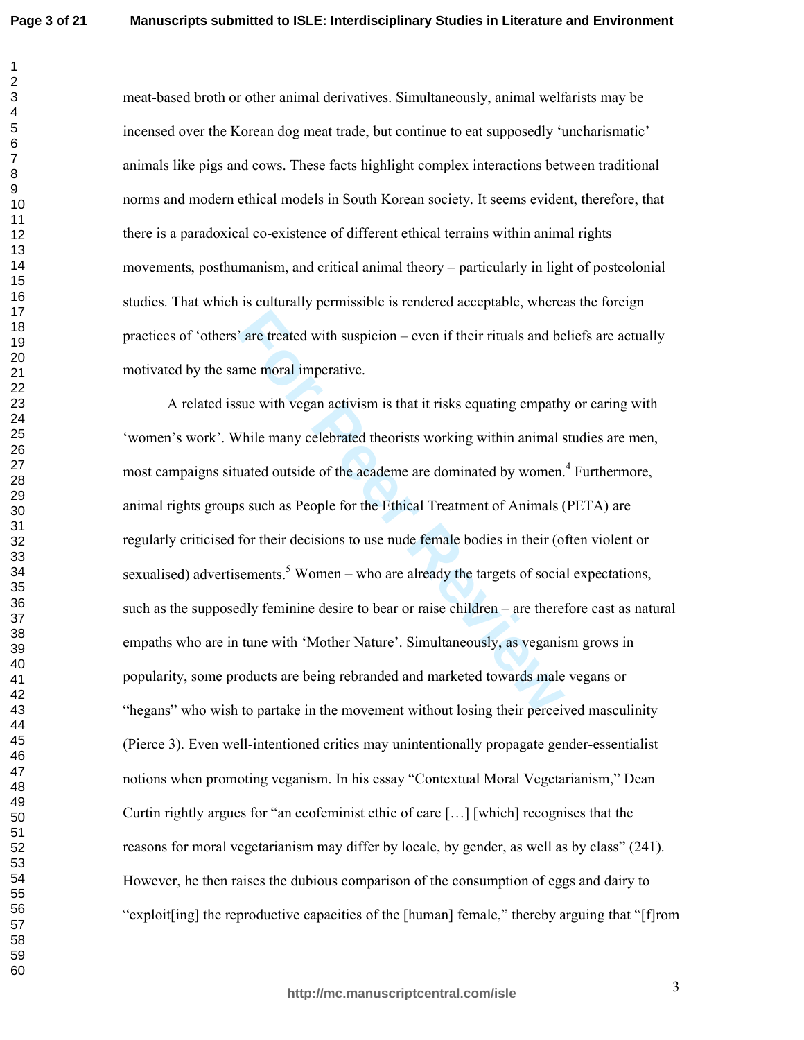meat-based broth or other animal derivatives. Simultaneously, animal welfarists may be incensed over the Korean dog meat trade, but continue to eat supposedly 'uncharismatic' animals like pigs and cows. These facts highlight complex interactions between traditional norms and modern ethical models in South Korean society. It seems evident, therefore, that there is a paradoxical co-existence of different ethical terrains within animal rights movements, posthumanism, and critical animal theory – particularly in light of postcolonial studies. That which is culturally permissible is rendered acceptable, whereas the foreign practices of 'others' are treated with suspicion – even if their rituals and beliefs are actually motivated by the same moral imperative.

<sup>2</sup> are treated with suspicion – even if their rituals and be<br>the menoral imperative.<br>Sue with vegan activism is that it risks equating empath!<br>Thile many celebrated theorists working within animal s<br>uated outside of the a A related issue with vegan activism is that it risks equating empathy or caring with 'women's work'. While many celebrated theorists working within animal studies are men, most campaigns situated outside of the academe are dominated by women.<sup>4</sup> Furthermore, animal rights groups such as People for the Ethical Treatment of Animals (PETA) are regularly criticised for their decisions to use nude female bodies in their (often violent or sexualised) advertisements.<sup>5</sup> Women – who are already the targets of social expectations, such as the supposedly feminine desire to bear or raise children – are therefore cast as natural empaths who are in tune with 'Mother Nature'. Simultaneously, as veganism grows in popularity, some products are being rebranded and marketed towards male vegans or "hegans" who wish to partake in the movement without losing their perceived masculinity (Pierce 3). Even well-intentioned critics may unintentionally propagate gender-essentialist notions when promoting veganism. In his essay "Contextual Moral Vegetarianism," Dean Curtin rightly argues for "an ecofeminist ethic of care [...] [which] recognises that the reasons for moral vegetarianism may differ by locale, by gender, as well as by class" (241). However, he then raises the dubious comparison of the consumption of eggs and dairy to "exploit[ing] the reproductive capacities of the [human] female," thereby arguing that "[f]rom

F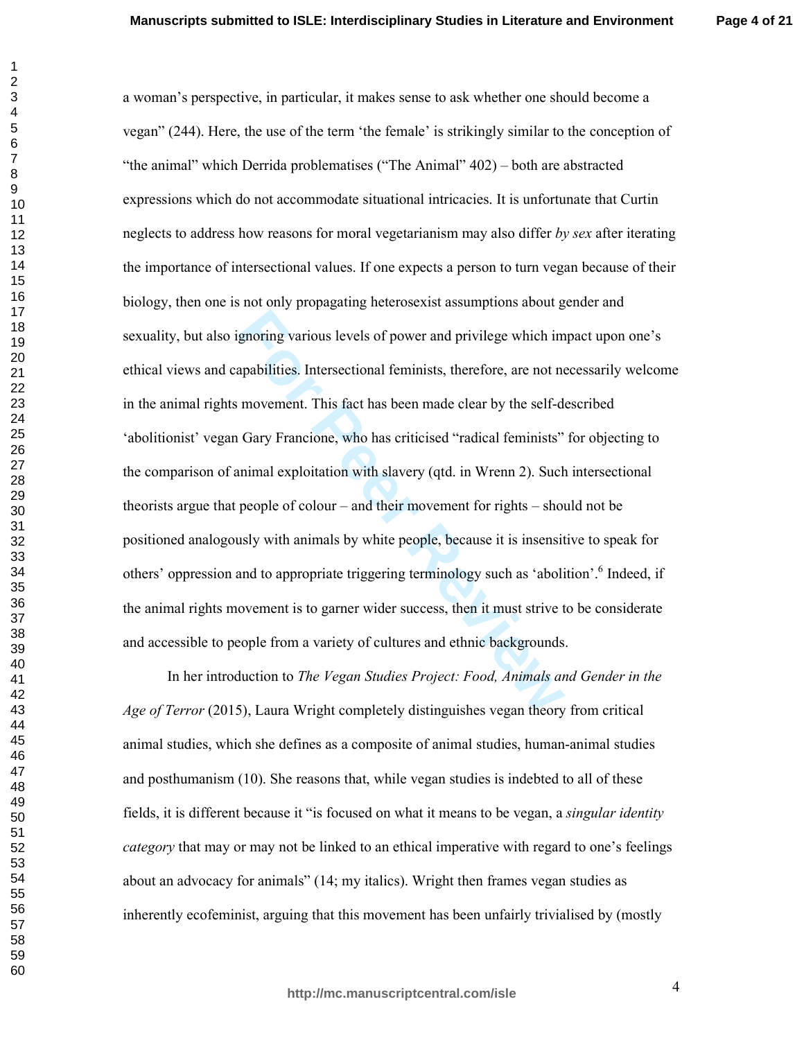**Page 4 of 21**

gnoring various levels of power and privilege which im<br>apabilities. Intersectional feminists, therefore, are not no<br>movement. This fact has been made clear by the self-d-<br>Gary Francione, who has criticised "radical feminis a woman's perspective, in particular, it makes sense to ask whether one should become a vegan" (244). Here, the use of the term 'the female' is strikingly similar to the conception of "the animal" which Derrida problematises ("The Animal" 402) – both are abstracted expressions which do not accommodate situational intricacies. It is unfortunate that Curtin neglects to address how reasons for moral vegetarianism may also differ by sex after iterating the importance of intersectional values. If one expects a person to turn vegan because of their biology, then one is not only propagating heterosexist assumptions about gender and sexuality, but also ignoring various levels of power and privilege which impact upon one's ethical views and capabilities. Intersectional feminists, therefore, are not necessarily welcome in the animal rights movement. This fact has been made clear by the self-described 'abolitionist' vegan Gary Francione, who has criticised "radical feminists" for objecting to the comparison of animal exploitation with slavery (qtd. in Wrenn 2). Such intersectional theorists argue that people of colour  $-$  and their movement for rights  $-$  should not be positioned analogously with animals by white people, because it is insensitive to speak for others' oppression and to appropriate triggering terminology such as 'abolition'.<sup>6</sup> Indeed, if the animal rights movement is to garner wider success, then it must strive to be considerate and accessible to people from a variety of cultures and ethnic backgrounds.

In her introduction to The Vegan Studies Project: Food, Animals and Gender in the Age of Terror (2015), Laura Wright completely distinguishes vegan theory from critical animal studies, which she defines as a composite of animal studies, human-animal studies and posthumanism (10). She reasons that, while vegan studies is indebted to all of these fields, it is different because it "is focused on what it means to be vegan, a *singular identity* category that may or may not be linked to an ethical imperative with regard to one's feelings about an advocacy for animals" (14; my italics). Wright then frames vegan studies as inherently ecofeminist, arguing that this movement has been unfairly trivialised by (mostly

 $\overline{4}$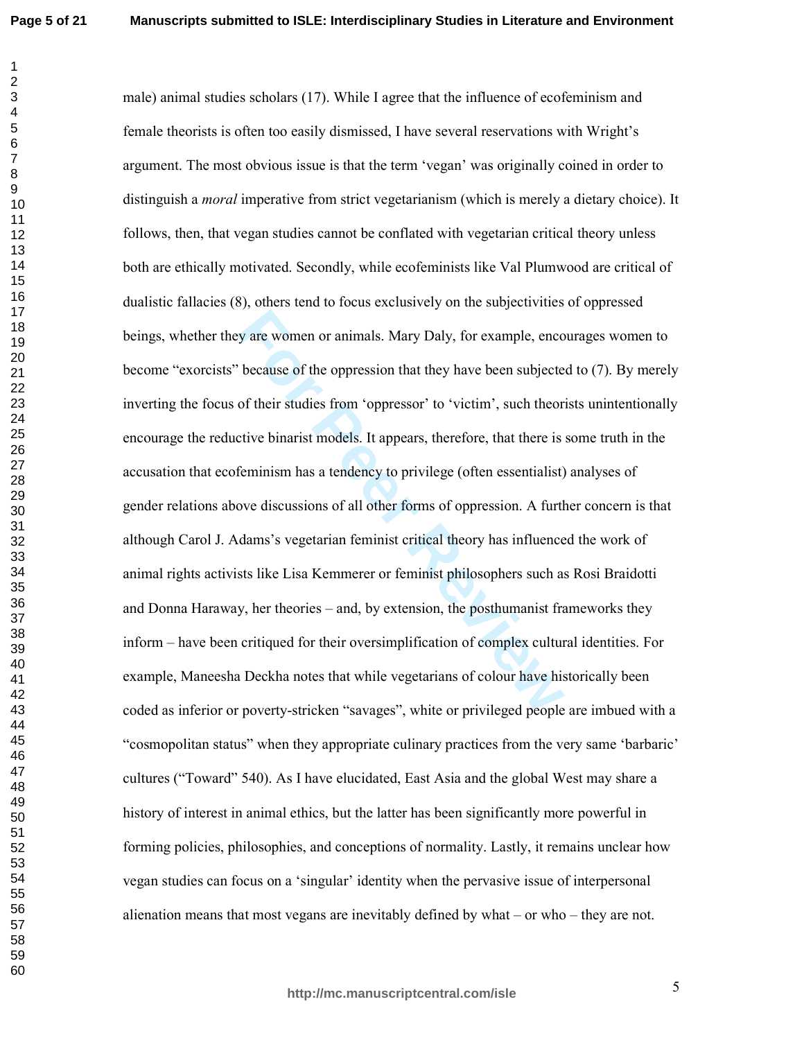$\mathbf{1}$  $\overline{2}$ 

 $12<sup>2</sup>$ 

male) animal studies scholars (17). While I agree that the influence of ecofeminism and female theorists is often too easily dismissed. I have several reservations with Wright's argument. The most obvious issue is that the term 'vegan' was originally coined in order to distinguish a *moral* imperative from strict vegetarianism (which is merely a dietary choice). It follows, then, that vegan studies cannot be conflated with vegetarian critical theory unless both are ethically motivated. Secondly, while ecofeminists like Val Plumwood are critical of dualistic fallacies (8), others tend to focus exclusively on the subjectivities of oppressed beings, whether they are women or animals. Mary Daly, for example, encourages women to become "exorcists" because of the oppression that they have been subjected to (7). By merely inverting the focus of their studies from 'oppressor' to 'victim', such theorists unintentionally encourage the reductive binarist models. It appears, therefore, that there is some truth in the accusation that ecofeminism has a tendency to privilege (often essentialist) analyses of gender relations above discussions of all other forms of oppression. A further concern is that although Carol J. Adams's vegetarian feminist critical theory has influenced the work of animal rights activists like Lisa Kemmerer or feminist philosophers such as Rosi Braidotti and Donna Haraway, her theories – and, by extension, the posthumanist frameworks they inform – have been critiqued for their oversimplification of complex cultural identities. For example, Maneesha Deckha notes that while vegetarians of colour have historically been coded as inferior or poverty-stricken "savages", white or privileged people are imbued with a "cosmopolitan status" when they appropriate culinary practices from the very same 'barbaric' cultures ("Toward" 540). As I have elucidated, East Asia and the global West may share a history of interest in animal ethics, but the latter has been significantly more powerful in forming policies, philosophies, and conceptions of normality. Lastly, it remains unclear how vegan studies can focus on a 'singular' identity when the pervasive issue of interpersonal alienation means that most vegans are inevitably defined by what  $-$  or who  $-$  they are not.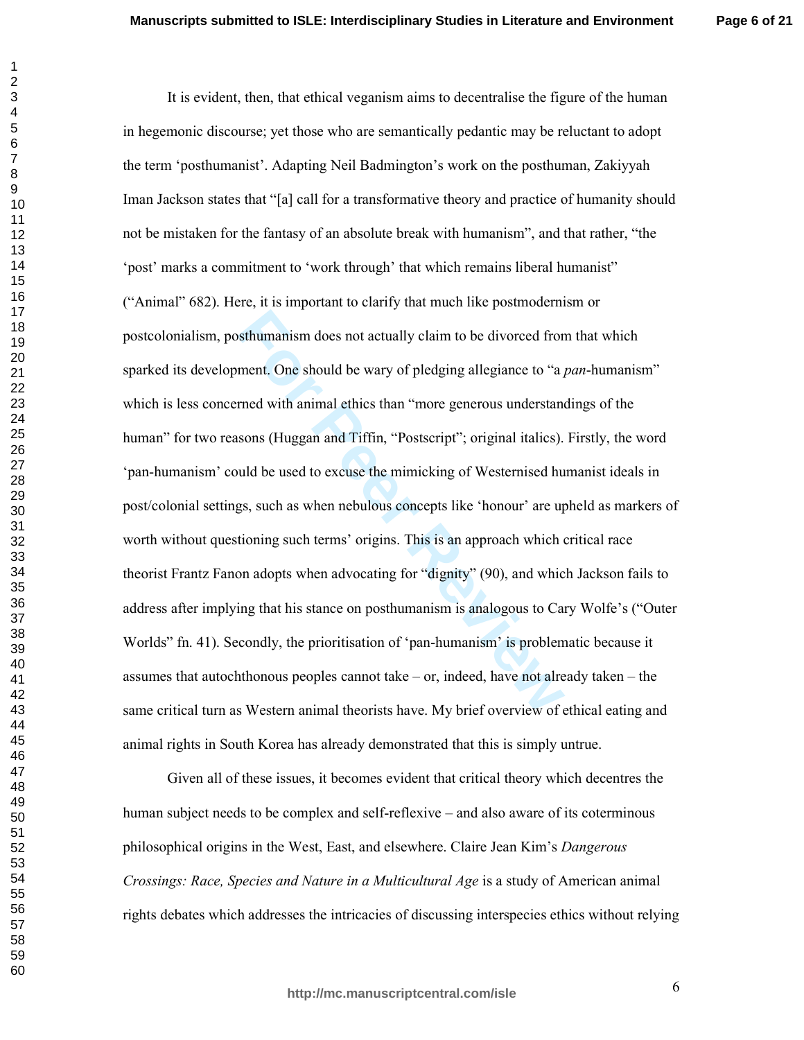**Example 15** sthumanism does not actually claim to be divorced from<br>the ment. One should be wary of pledging allegiance to "a<sub>*i*</sub><br>rned with animal ethics than "more generous understand<br>sons (Huggan and Tiffin, "Postscript It is evident, then, that ethical veganism aims to decentralise the figure of the human in hegemonic discourse; yet those who are semantically pedantic may be reluctant to adopt the term 'posthumanist'. Adapting Neil Badmington's work on the posthuman, Zakiyyah Iman Jackson states that "[a] call for a transformative theory and practice of humanity should not be mistaken for the fantasy of an absolute break with humanism", and that rather, "the 'post' marks a commitment to 'work through' that which remains liberal humanist'' ("Animal" 682). Here, it is important to clarify that much like postmodernism or postcolonialism, posthumanism does not actually claim to be divorced from that which sparked its development. One should be wary of pledging allegiance to "a pan-humanism" which is less concerned with animal ethics than "more generous understandings of the human" for two reasons (Huggan and Tiffin, "Postscript"; original italics). Firstly, the word 'pan-humanism' could be used to excuse the mimicking of Westernised humanist ideals in post/colonial settings, such as when nebulous concepts like 'honour' are upheld as markers of worth without questioning such terms' origins. This is an approach which critical race theorist Frantz Fanon adopts when advocating for "dignity" (90), and which Jackson fails to address after implying that his stance on posthumanism is analogous to Cary Wolfe's ("Outer Worlds" fn. 41). Secondly, the prioritisation of 'pan-humanism' is problematic because it assumes that autochthonous peoples cannot take  $-$  or, indeed, have not already taken  $-$  the same critical turn as Western animal theorists have. My brief overview of ethical eating and animal rights in South Korea has already demonstrated that this is simply untrue.

Given all of these issues, it becomes evident that critical theory which decentres the human subject needs to be complex and self-reflexive – and also aware of its coterminous philosophical origins in the West, East, and elsewhere. Claire Jean Kim's Dangerous Crossings: Race, Species and Nature in a Multicultural Age is a study of American animal rights debates which addresses the intricacies of discussing interspecies ethics without relying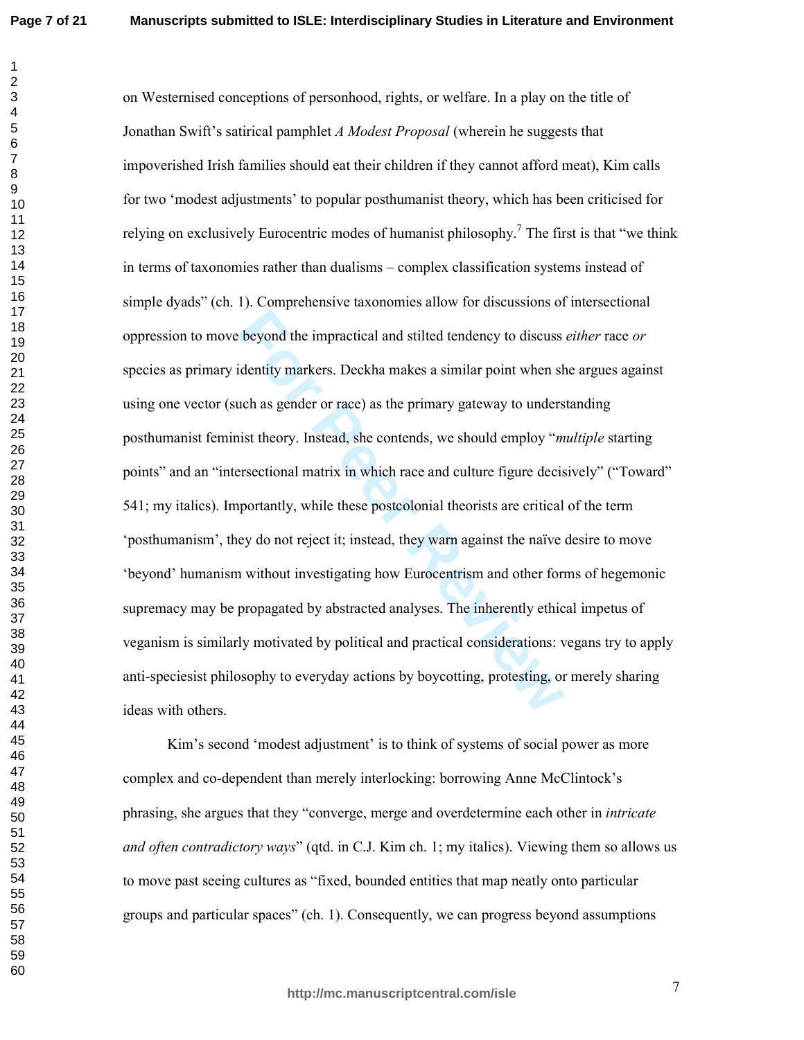beyond the impractical and stilted tendency to discuss<br>identity markers. Deckha makes a similar point when sh<br>uch as gender or race) as the primary gateway to unders<br>ist theory. Instead, she contends, we should employ "*m* on Westernised conceptions of personhood, rights, or welfare. In a play on the title of Jonathan Swift's satirical pamphlet *A Modest Proposal* (wherein he suggests that impoverished Irish families should eat their children if they cannot afford meat), Kim calls for two 'modest adjustments' to popular posthumanist theory, which has been criticised for relying on exclusively Eurocentric modes of humanist philosophy.<sup>7</sup> The first is that "we think in terms of taxonomies rather than dualisms - complex classification systems instead of simple dyads" (ch. 1). Comprehensive taxonomies allow for discussions of intersectional oppression to move beyond the impractical and stilted tendency to discuss either race or species as primary identity markers. Deckha makes a similar point when she argues against using one vector (such as gender or race) as the primary gateway to understanding posthumanist feminist theory. Instead, she contends, we should employ "*multiple* starting points" and an "intersectional matrix in which race and culture figure decisively" ("Toward" 541; my italics). Importantly, while these postcolonial theorists are critical of the term 'posthumanism', they do not reject it; instead, they warn against the naïve desire to move 'beyond' humanism without investigating how Eurocentrism and other forms of hegemonic supremacy may be propagated by abstracted analyses. The inherently ethical impetus of veganism is similarly motivated by political and practical considerations: vegans try to apply anti-speciesist philosophy to everyday actions by boycotting, protesting, or merely sharing ideas with others.

Kim's second 'modest adjustment' is to think of systems of social power as more complex and co-dependent than merely interlocking: borrowing Anne McClintock's phrasing, she argues that they "converge, merge and overdetermine each other in *intricate* and often contradictory ways" (qtd. in C.J. Kim ch. 1; my italics). Viewing them so allows us to move past seeing cultures as "fixed, bounded entities that map neatly onto particular groups and particular spaces" (ch. 1). Consequently, we can progress beyond assumptions

 $\boldsymbol{7}$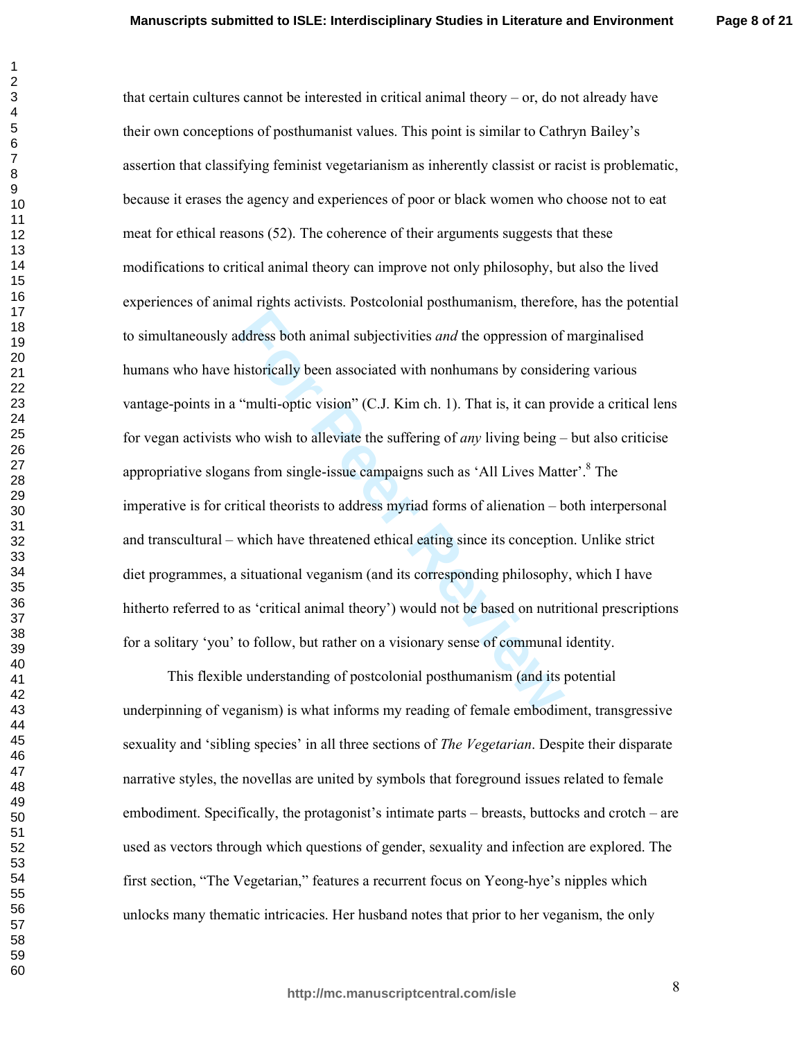**Page 8 of 21**

ddress both animal subjectivities *and* the oppression of<br>instorically been associated with nonhumans by conside<br>"multi-optic vision" (C.J. Kim ch. 1). That is, it can pro<br>who wish to alleviate the suffering of *any* livin that certain cultures cannot be interested in critical animal theory  $-$  or, do not already have their own conceptions of posthumanist values. This point is similar to Cathryn Bailey's assertion that classifying feminist vegetarianism as inherently classist or racist is problematic, because it erases the agency and experiences of poor or black women who choose not to eat meat for ethical reasons (52). The coherence of their arguments suggests that these modifications to critical animal theory can improve not only philosophy, but also the lived experiences of animal rights activists. Postcolonial posthumanism, therefore, has the potential to simultaneously address both animal subjectivities and the oppression of marginalised humans who have historically been associated with nonhumans by considering various vantage-points in a "multi-optic vision" (C.J. Kim ch. 1). That is, it can provide a critical lens for vegan activists who wish to alleviate the suffering of *any* living being  $-$  but also criticise appropriative slogans from single-issue campaigns such as 'All Lives Matter'.<sup>8</sup> The imperative is for critical theorists to address myriad forms of alienation – both interpersonal and transcultural – which have threatened ethical eating since its conception. Unlike strict diet programmes, a situational veganism (and its corresponding philosophy, which I have hitherto referred to as 'critical animal theory') would not be based on nutritional prescriptions for a solitary 'you' to follow, but rather on a visionary sense of communal identity.

This flexible understanding of postcolonial posthumanism (and its potential underpinning of veganism) is what informs my reading of female embodiment, transgressive sexuality and 'sibling species' in all three sections of *The Vegetarian*. Despite their disparate narrative styles, the novellas are united by symbols that foreground issues related to female embodiment. Specifically, the protagonist's intimate parts – breasts, buttocks and crotch – are used as vectors through which questions of gender, sexuality and infection are explored. The first section, "The Vegetarian," features a recurrent focus on Yeong-hye's nipples which unlocks many thematic intricacies. Her husband notes that prior to her veganism, the only

 $\mathbf{1}$ 

 

&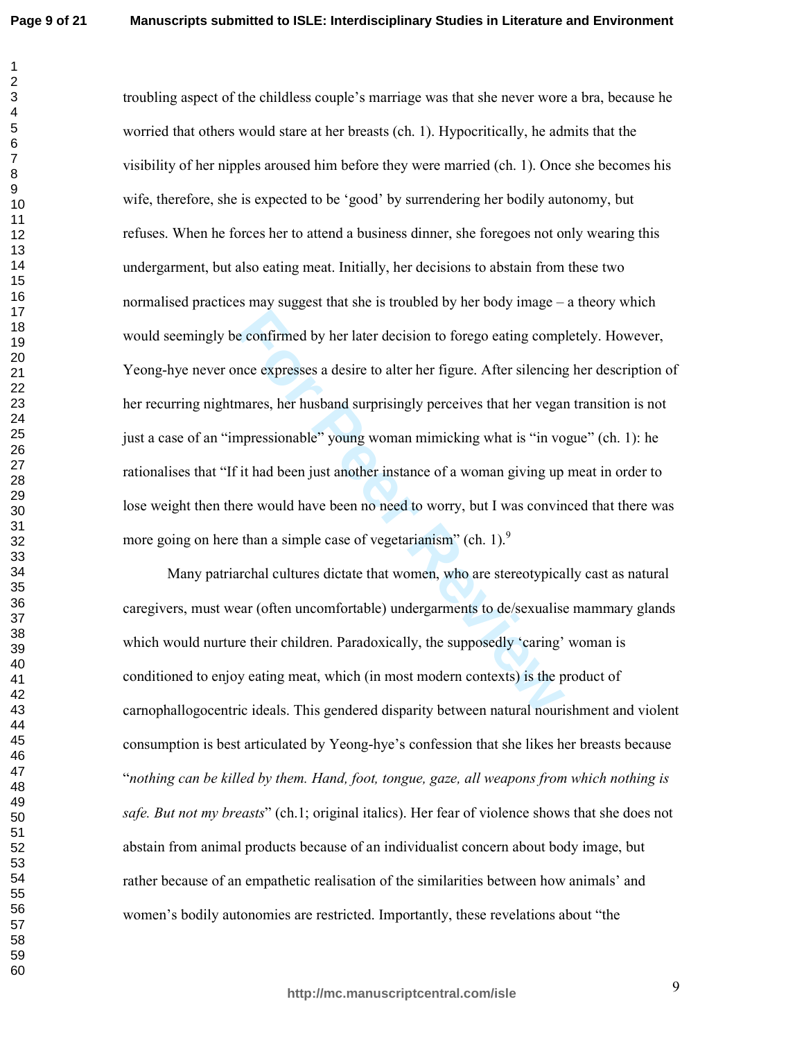For expresses a desire to alter her figure. After silencing<br>nares, her husband surprisingly perceives that her vegan<br>npressionable" young woman mimicking what is "in vo<br>it had been just another instance of a woman giving u troubling aspect of the childless couple's marriage was that she never wore a bra, because he worried that others would stare at her breasts (ch. 1). Hypocritically, he admits that the visibility of her nipples aroused him before they were married (ch. 1). Once she becomes his wife, therefore, she is expected to be 'good' by surrendering her bodily autonomy, but refuses. When he forces her to attend a business dinner, she foregoes not only wearing this undergarment, but also eating meat. Initially, her decisions to abstain from these two normalised practices may suggest that she is troubled by her body image – a theory which would seemingly be confirmed by her later decision to forego eating completely. However, Yeong-hye never once expresses a desire to alter her figure. After silencing her description of her recurring nightmares, her husband surprisingly perceives that her vegan transition is not just a case of an "impressionable" young woman mimicking what is "in vogue" (ch. 1): he rationalises that "If it had been just another instance of a woman giving up meat in order to lose weight then there would have been no need to worry, but I was convinced that there was more going on here than a simple case of vegetarianism" (ch. 1). $\degree$ 

Many patriarchal cultures dictate that women, who are stereotypically cast as natural caregivers, must wear (often uncomfortable) undergarments to de/sexualise mammary glands which would nurture their children. Paradoxically, the supposedly 'caring' woman is conditioned to enjoy eating meat, which (in most modern contexts) is the product of carnophallogocentric ideals. This gendered disparity between natural nourishment and violent consumption is best articulated by Yeong-hye's confession that she likes her breasts because "nothing can be killed by them. Hand, foot, tongue, gaze, all weapons from which nothing is safe. But not my breasts" (ch.1; original italics). Her fear of violence shows that she does not abstain from animal products because of an individualist concern about body image, but rather because of an empathetic realisation of the similarities between how animals' and women's bodily autonomies are restricted. Importantly, these revelations about "the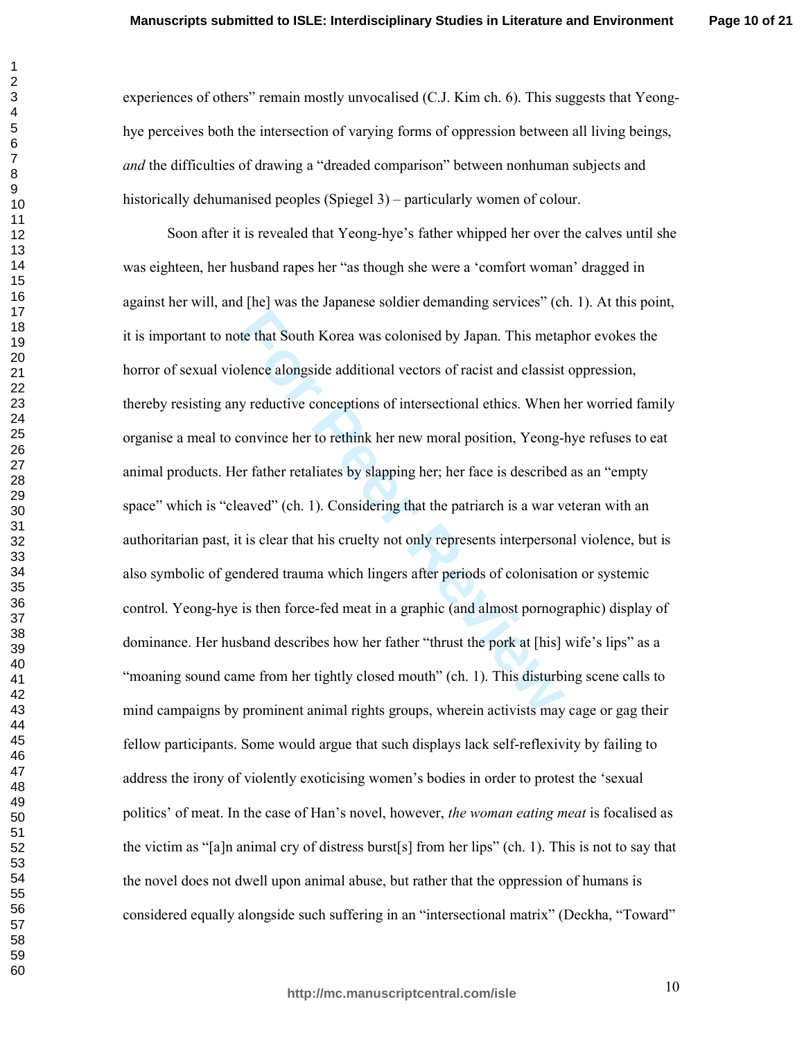experiences of others" remain mostly unvocalised (C.J. Kim ch. 6). This suggests that Yeonghye perceives both the intersection of varying forms of oppression between all living beings, and the difficulties of drawing a "dreaded comparison" between nonhuman subjects and historically dehumanised peoples (Spiegel 3) – particularly women of colour.

For the that South Korea was colonised by Japan. This metaylence alongside additional vectors of racist and classist by reductive conceptions of intersectional ethics. When loconvince her to rethink her new moral position, Soon after it is revealed that Yeong-hye's father whipped her over the calves until she was eighteen, her husband rapes her "as though she were a 'comfort woman' dragged in against her will, and [he] was the Japanese soldier demanding services" (ch. 1). At this point, it is important to note that South Korea was colonised by Japan. This metaphor evokes the horror of sexual violence alongside additional vectors of racist and classist oppression, thereby resisting any reductive conceptions of intersectional ethics. When her worried family organise a meal to convince her to rethink her new moral position, Yeong-hye refuses to eat animal products. Her father retaliates by slapping her; her face is described as an "empty space" which is "cleaved" (ch. 1). Considering that the patriarch is a war veteran with an authoritarian past, it is clear that his cruelty not only represents interpersonal violence, but is also symbolic of gendered trauma which lingers after periods of colonisation or systemic control. Yeong-hye is then force-fed meat in a graphic (and almost pornographic) display of dominance. Her husband describes how her father "thrust the pork at [his] wife's lips" as a "moaning sound came from her tightly closed mouth" (ch. 1). This disturbing scene calls to mind campaigns by prominent animal rights groups, wherein activists may cage or gag their fellow participants. Some would argue that such displays lack self-reflexivity by failing to address the irony of violently exoticising women's bodies in order to protest the 'sexual politics' of meat. In the case of Han's novel, however, the woman eating meat is focalised as the victim as "[a]n animal cry of distress burst[s] from her lips" (ch. 1). This is not to say that the novel does not dwell upon animal abuse, but rather that the oppression of humans is considered equally alongside such suffering in an "intersectional matrix" (Deckha, "Toward"

<sup>10</sup>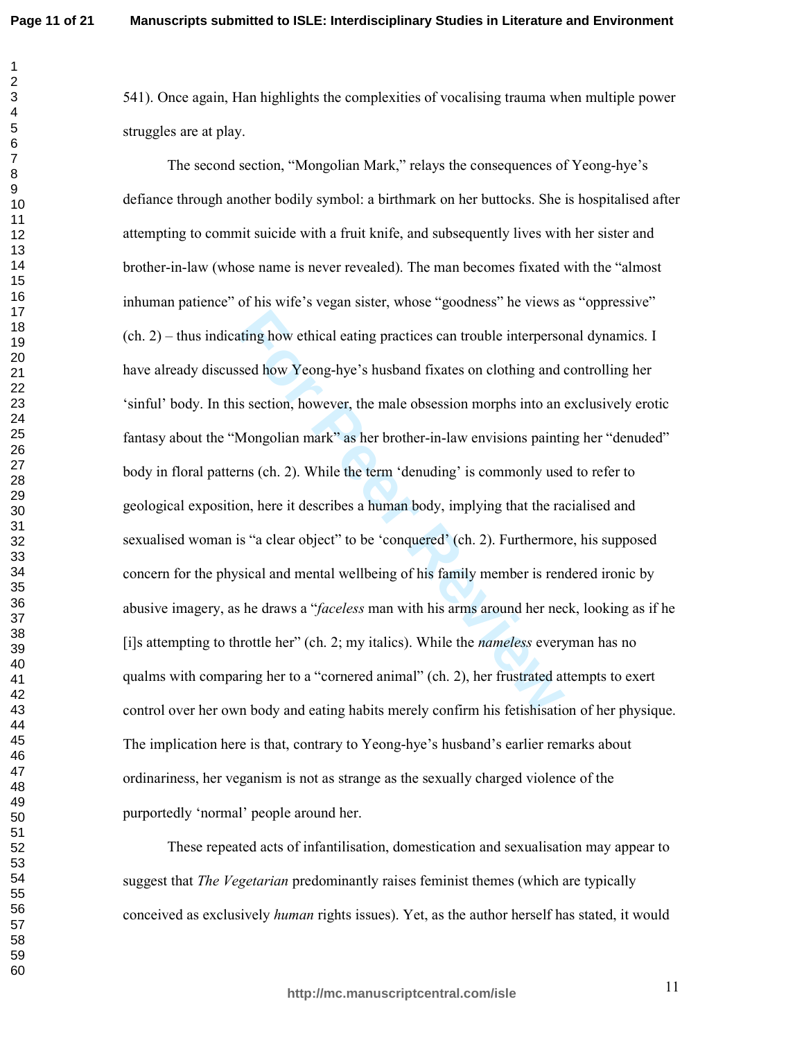541). Once again, Han highlights the complexities of vocalising trauma when multiple power struggles are at play.

ting how ethical eating practices can trouble interperso<br>
seed how Yeong-hye's husband fixates on clothing and is<br>
section, however, the male obsession morphs into an<br>
Mongolian mark" as her brother-in-law envisions painti The second section, "Mongolian Mark," relays the consequences of Yeong-hye's defiance through another bodily symbol: a birthmark on her buttocks. She is hospitalised after attempting to commit suicide with a fruit knife, and subsequently lives with her sister and brother-in-law (whose name is never revealed). The man becomes fixated with the "almost inhuman patience" of his wife's vegan sister, whose "goodness" he views as "oppressive"  $(ch. 2)$  – thus indicating how ethical eating practices can trouble interpersonal dynamics. I have already discussed how Yeong-hye's husband fixates on clothing and controlling her 'sinful' body. In this section, however, the male obsession morphs into an exclusively erotic fantasy about the "Mongolian mark" as her brother-in-law envisions painting her "denuded" body in floral patterns (ch. 2). While the term 'denuding' is commonly used to refer to geological exposition, here it describes a human body, implying that the racialised and sexualised woman is "a clear object" to be 'conquered' (ch. 2). Furthermore, his supposed concern for the physical and mental wellbeing of his family member is rendered ironic by abusive imagery, as he draws a "*faceless* man with his arms around her neck, looking as if he [i]s attempting to throttle her" (ch. 2; my italics). While the *nameless* everyman has no qualms with comparing her to a "cornered animal" (ch. 2), her frustrated attempts to exert control over her own body and eating habits merely confirm his fetishisation of her physique. The implication here is that, contrary to Yeong-hye's husband's earlier remarks about ordinariness, her veganism is not as strange as the sexually charged violence of the purportedly 'normal' people around her.

These repeated acts of infantilisation, domestication and sexualisation may appear to suggest that *The Vegetarian* predominantly raises feminist themes (which are typically conceived as exclusively *human* rights issues). Yet, as the author herself has stated, it would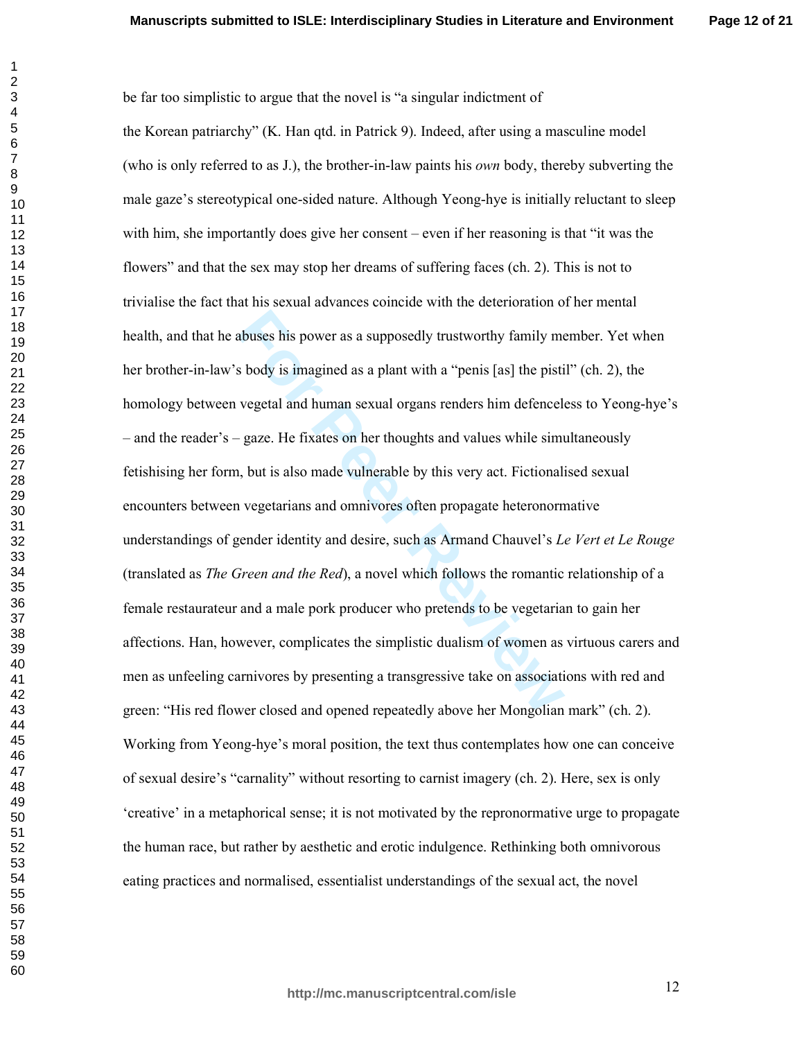**Page 12 of 21**

abuses his power as a supposedly trustworthy family me<br>s body is imagined as a plant with a "penis [as] the pisti<br>vegetal and human sexual organs renders him defencel-<br>gaze. He fixates on her thoughts and values while simu be far too simplistic to argue that the novel is "a singular indictment of the Korean patriarchy" (K. Han qtd. in Patrick 9). Indeed, after using a masculine model (who is only referred to as  $J$ .), the brother-in-law paints his *own* body, thereby subverting the male gaze's stereotypical one-sided nature. Although Yeong-hye is initially reluctant to sleep with him, she importantly does give her consent – even if her reasoning is that "it was the flowers" and that the sex may stop her dreams of suffering faces (ch. 2). This is not to trivialise the fact that his sexual advances coincide with the deterioration of her mental health, and that he abuses his power as a supposedly trustworthy family member. Yet when her brother-in-law's body is imagined as a plant with a "penis [as] the pistil" (ch. 2), the homology between vegetal and human sexual organs renders him defenceless to Yeong-hye's – and the reader's – gaze. He fixates on her thoughts and values while simultaneously fetishising her form, but is also made vulnerable by this very act. Fictionalised sexual encounters between vegetarians and omnivores often propagate heteronormative understandings of gender identity and desire, such as Armand Chauvel's Le Vert et Le Rouge (translated as *The Green and the Red*), a novel which follows the romantic relationship of a female restaurateur and a male pork producer who pretends to be vegetarian to gain her affections. Han, however, complicates the simplistic dualism of women as virtuous carers and men as unfeeling carnivores by presenting a transgressive take on associations with red and green: "His red flower closed and opened repeatedly above her Mongolian mark" (ch. 2). Working from Yeong-hye's moral position, the text thus contemplates how one can conceive of sexual desire's "carnality" without resorting to carnist imagery (ch. 2). Here, sex is only 'creative' in a metaphorical sense; it is not motivated by the repronormative urge to propagate the human race, but rather by aesthetic and erotic indulgence. Rethinking both omnivorous eating practices and normalised, essentialist understandings of the sexual act, the novel

-%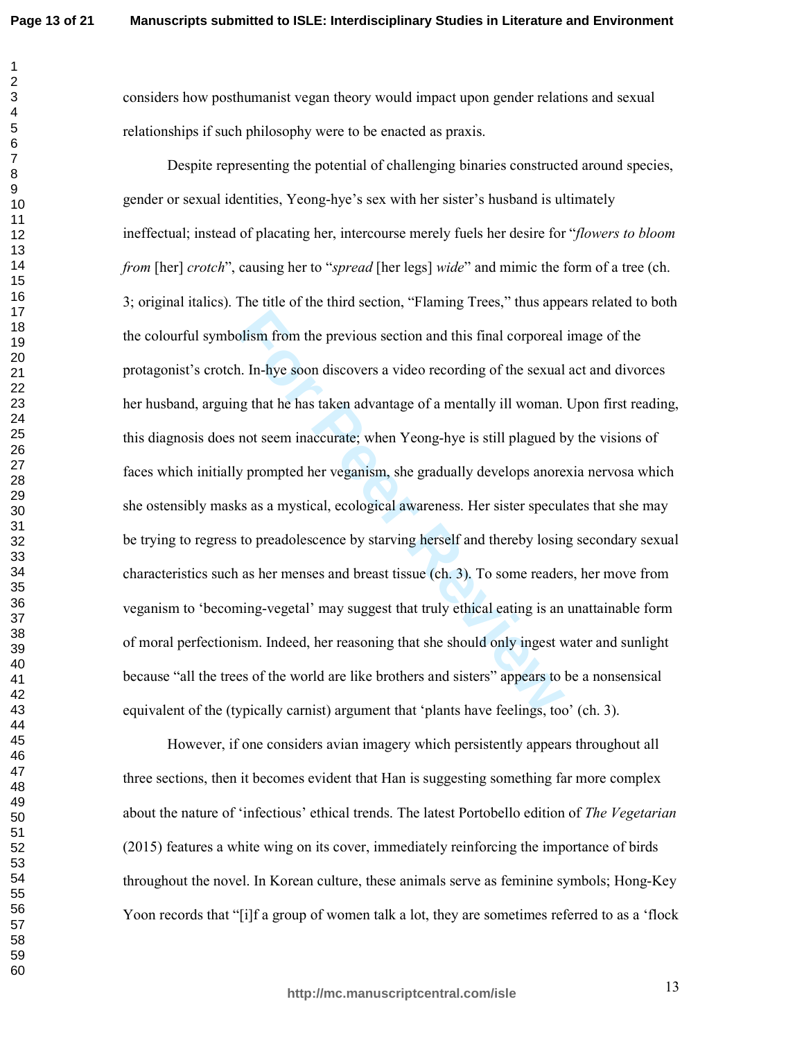considers how posthumanist vegan theory would impact upon gender relations and sexual relationships if such philosophy were to be enacted as praxis.

For Figures 1. In-hye soon discovers a video recording of the sexual<br>alger that he has taken advantage of a mentally ill woman.<br>not seem inaccurate; when Yeong-hye is still plagued b<br>y prompted her veganism, she gradually Despite representing the potential of challenging binaries constructed around species, gender or sexual identities, Yeong-hye's sex with her sister's husband is ultimately ineffectual; instead of placating her, intercourse merely fuels her desire for "flowers to bloom *from* [her] *crotch*", causing her to "*spread* [her legs] *wide*" and mimic the form of a tree (ch. 3; original italics). The title of the third section, "Flaming Trees," thus appears related to both the colourful symbolism from the previous section and this final corporeal image of the protagonist's crotch. In-hye soon discovers a video recording of the sexual act and divorces her husband, arguing that he has taken advantage of a mentally ill woman. Upon first reading, this diagnosis does not seem inaccurate; when Yeong-hye is still plagued by the visions of faces which initially prompted her veganism, she gradually develops anorexia nervosa which she ostensibly masks as a mystical, ecological awareness. Her sister speculates that she may be trying to regress to preadolescence by starving herself and thereby losing secondary sexual characteristics such as her menses and breast tissue (ch. 3). To some readers, her move from veganism to 'becoming-vegetal' may suggest that truly ethical eating is an unattainable form of moral perfectionism. Indeed, her reasoning that she should only ingest water and sunlight because "all the trees of the world are like brothers and sisters" appears to be a nonsensical equivalent of the (typically carnist) argument that 'plants have feelings, too' (ch. 3).

However, if one considers avian imagery which persistently appears throughout all three sections, then it becomes evident that Han is suggesting something far more complex about the nature of 'infectious' ethical trends. The latest Portobello edition of The Vegetarian  $(2015)$  features a white wing on its cover, immediately reinforcing the importance of birds throughout the novel. In Korean culture, these animals serve as feminine symbols; Hong-Key Yoon records that "[i]f a group of women talk a lot, they are sometimes referred to as a 'flock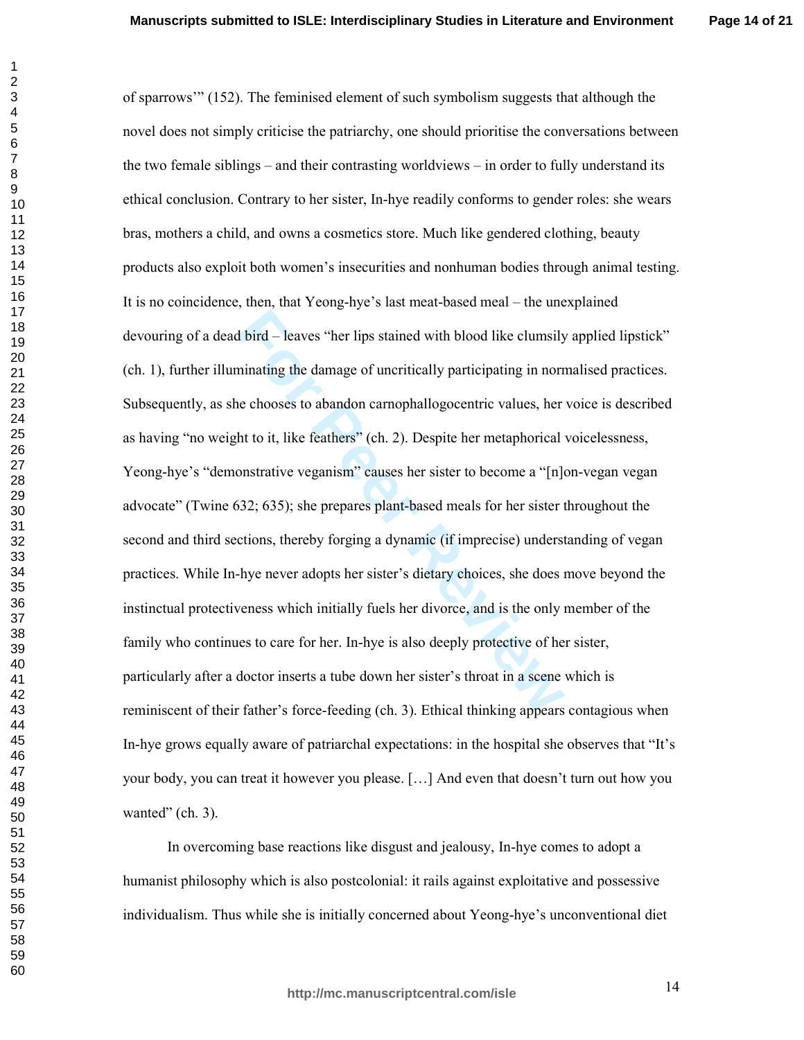**Page 14 of 21**

For Principal and with blood like clumsily<br>
For Principal and with blood like clumsily<br>
For Principal and an and<br>
For Principal and Consess to abandon carnophallogocentric values, her<br>
Int to it, like feathers" (ch. 2). De of sparrows" (152). The feminised element of such symbolism suggests that although the novel does not simply criticise the patriarchy, one should prioritise the conversations between the two female siblings  $-$  and their contrasting worldviews  $-$  in order to fully understand its ethical conclusion. Contrary to her sister, In-hye readily conforms to gender roles: she wears bras, mothers a child, and owns a cosmetics store. Much like gendered clothing, beauty products also exploit both women's insecurities and nonhuman bodies through animal testing. It is no coincidence, then, that Yeong-hye's last meat-based meal – the unexplained devouring of a dead bird – leaves "her lips stained with blood like clumsily applied lipstick" (ch. 1), further illuminating the damage of uncritically participating in normalised practices. Subsequently, as she chooses to abandon carnophallogocentric values, her voice is described as having "no weight to it, like feathers" (ch. 2). Despite her metaphorical voicelessness, Yeong-hye's "demonstrative veganism" causes her sister to become a "[n]on-vegan vegan advocate" (Twine 632; 635); she prepares plant-based meals for her sister throughout the second and third sections, thereby forging a dynamic (if imprecise) understanding of vegan practices. While In-hye never adopts her sister's dietary choices, she does move beyond the instinctual protectiveness which initially fuels her divorce, and is the only member of the family who continues to care for her. In-hye is also deeply protective of her sister, particularly after a doctor inserts a tube down her sister's throat in a scene which is reminiscent of their father's force-feeding (ch. 3). Ethical thinking appears contagious when In-hye grows equally aware of patriarchal expectations: in the hospital she observes that "It's your body, you can treat it however you please. [...] And even that doesn't turn out how you wanted"  $(ch. 3)$ .

In overcoming base reactions like disgust and jealousy, In-hye comes to adopt a humanist philosophy which is also postcolonial: it rails against exploitative and possessive individualism. Thus while she is initially concerned about Yeong-hye's unconventional diet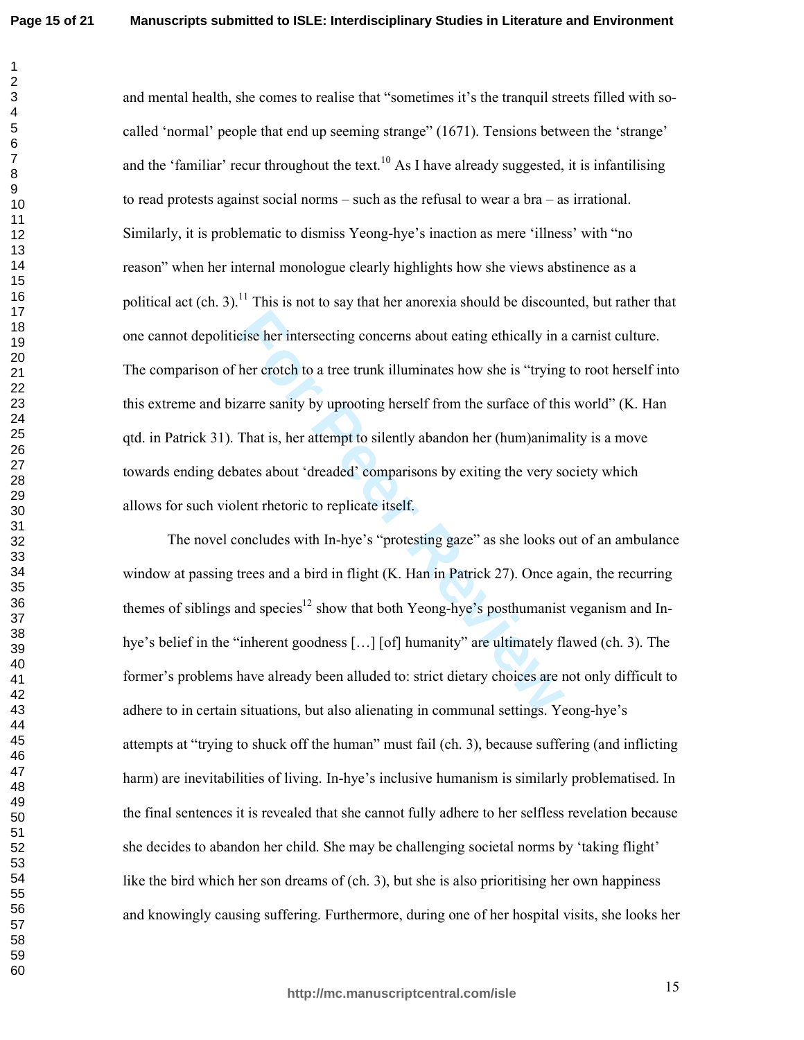$\mathbf{1}$  $\overline{2}$ 

and mental health, she comes to realise that "sometimes it's the tranquil streets filled with socalled 'normal' people that end up seeming strange" (1671). Tensions between the 'strange' and the 'familiar' recur throughout the text.<sup>10</sup> As I have already suggested, it is infantilising to read protests against social norms  $-$  such as the refusal to wear a bra  $-$  as irrational. Similarly, it is problematic to dismiss Yeong-hye's inaction as mere 'illness' with "no reason" when her internal monologue clearly highlights how she views abstinence as a political act (ch. 3).<sup>11</sup> This is not to say that her anorexia should be discounted, but rather that one cannot depoliticise her intersecting concerns about eating ethically in a carnist culture. The comparison of her crotch to a tree trunk illuminates how she is "trying to root herself into this extreme and bizarre sanity by uprooting herself from the surface of this world" (K. Han qtd. in Patrick 31). That is, her attempt to silently abandon her (hum)animality is a move towards ending debates about 'dreaded' comparisons by exiting the very society which allows for such violent rhetoric to replicate itself.

The novel concludes with In-hye's "protesting gaze" as she looks out of an ambulance window at passing trees and a bird in flight (K. Han in Patrick 27). Once again, the recurring themes of siblings and species<sup>12</sup> show that both Yeong-hye's posthumanist veganism and Inhye's belief in the "inherent goodness [...] [of] humanity" are ultimately flawed (ch. 3). The former's problems have already been alluded to: strict dietary choices are not only difficult to adhere to in certain situations, but also alienating in communal settings. Yeong-hye's attempts at "trying to shuck off the human" must fail (ch. 3), because suffering (and inflicting harm) are inevitabilities of living. In-hye's inclusive humanism is similarly problematised. In the final sentences it is revealed that she cannot fully adhere to her selfless revelation because she decides to abandon her child. She may be challenging societal norms by 'taking flight' like the bird which her son dreams of (ch. 3), but she is also prioritising her own happiness and knowingly causing suffering. Furthermore, during one of her hospital visits, she looks her

http://mc.manuscriptcentral.com/isle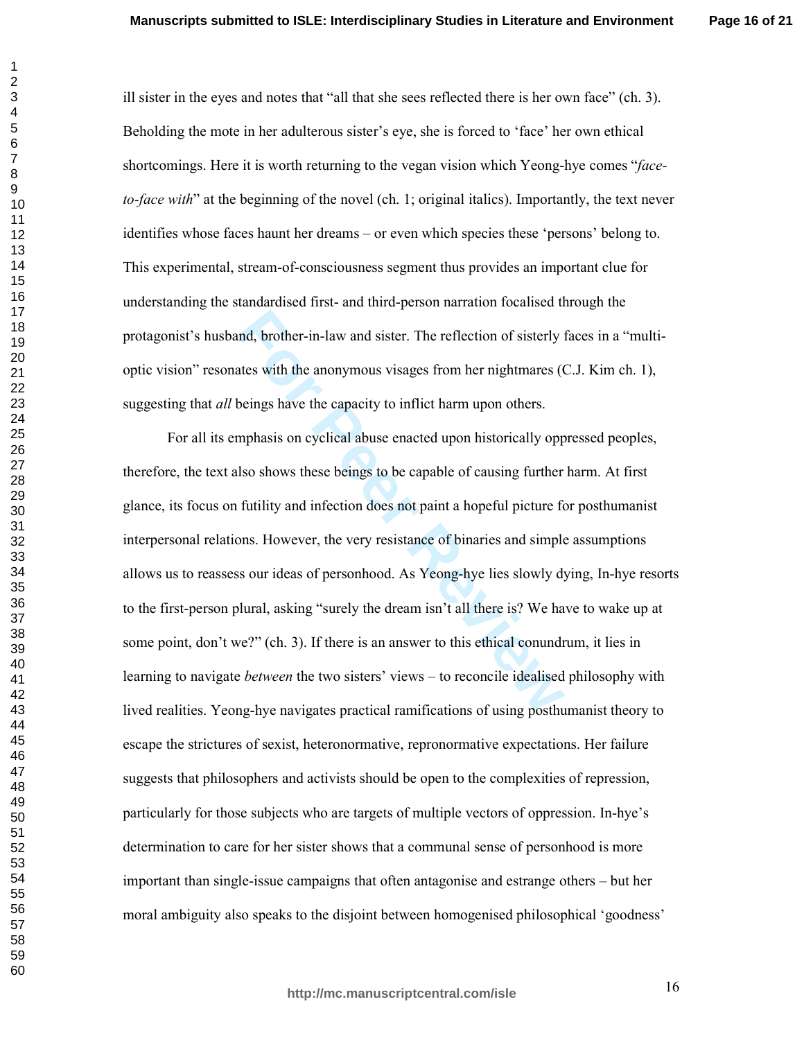**Page 16 of 21**

ill sister in the eyes and notes that "all that she sees reflected there is her own face"  $(ch. 3)$ . Beholding the mote in her adulterous sister's eye, she is forced to 'face' her own ethical shortcomings. Here it is worth returning to the vegan vision which Yeong-hye comes "faceto-face with" at the beginning of the novel (ch. 1; original italics). Importantly, the text never identifies whose faces haunt her dreams – or even which species these 'persons' belong to. This experimental, stream-of-consciousness segment thus provides an important clue for understanding the standardised first- and third-person narration focalised through the protagonist's husband, brother-in-law and sister. The reflection of sisterly faces in a "multioptic vision" resonates with the anonymous visages from her nightmares  $(C.J.$  Kim ch. 1), suggesting that *all* beings have the capacity to inflict harm upon others.

and, brother-in-law and sister. The reflection of sisterly if the sum of sister in-law and sister. The reflection of sisterly if the sum of the anonymous visages from her nightmares ((beings have the capacity to inflict ha For all its emphasis on cyclical abuse enacted upon historically oppressed peoples, therefore, the text also shows these beings to be capable of causing further harm. At first glance, its focus on futility and infection does not paint a hopeful picture for posthumanist interpersonal relations. However, the very resistance of binaries and simple assumptions allows us to reassess our ideas of personhood. As Yeong-hye lies slowly dying, In-hye resorts to the first-person plural, asking "surely the dream isn't all there is? We have to wake up at some point, don't we?" (ch. 3). If there is an answer to this ethical conundrum, it lies in learning to navigate *between* the two sisters' views – to reconcile idealised philosophy with lived realities. Yeong-hye navigates practical ramifications of using posthumanist theory to escape the strictures of sexist, heteronormative, repronormative expectations. Her failure suggests that philosophers and activists should be open to the complexities of repression, particularly for those subjects who are targets of multiple vectors of oppression. In-hye's determination to care for her sister shows that a communal sense of personhood is more important than single-issue campaigns that often antagonise and estrange others – but her moral ambiguity also speaks to the disjoint between homogenised philosophical 'goodness'

 

-1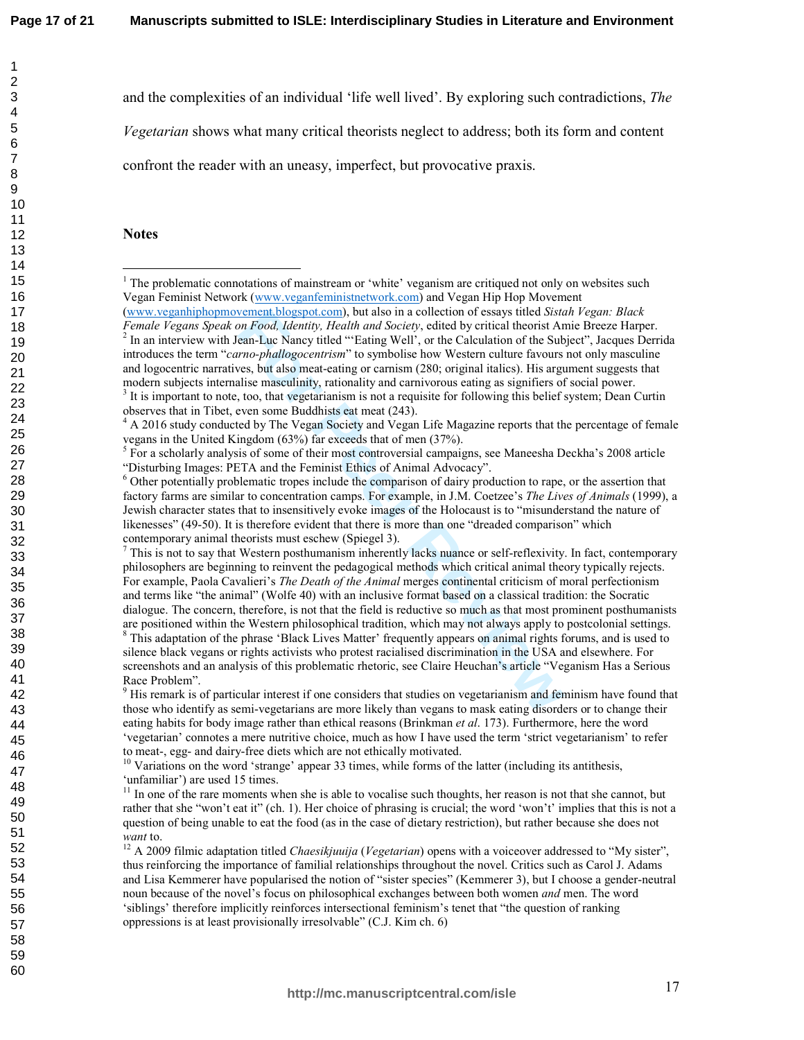$\mathbf{1}$  $\overline{2}$ 3

4 5 and the complexities of an individual 'life well lived'. By exploring such contradictions, The

Vegetarian shows what many critical theorists neglect to address; both its form and content

confront the reader with an uneasy, imperfect, but provocative praxis.

### **Notes**

 $^7$  This is not to say that Western posthumanism inherently lacks nuance or self-reflexivity. In fact, contemporary philosophers are beginning to reinvent the pedagogical methods which critical animal theory typically rejects. For example, Paola Cavalieri's The Death of the Animal merges continental criticism of moral perfectionism and terms like "the animal" (Wolfe 40) with an inclusive format based on a classical tradition: the Socratic dialogue. The concern, therefore, is not that the field is reductive so much as that most prominent posthumanists are positioned within the Western philosophical tradition, which may not always apply to postcolonial settings.

 $8$  This adaptation of the phrase 'Black Lives Matter' frequently appears on animal rights forums, and is used to silence black vegans or rights activists who protest racialised discrimination in the USA and elsewhere. For screenshots and an analysis of this problematic rhetoric, see Claire Heuchan's article "Veganism Has a Serious Race Problem".

 $\mu$ <sup>9</sup> His remark is of particular interest if one considers that studies on vegetarianism and feminism have found that those who identify as semi-vegetarians are more likely than vegans to mask eating disorders or to change their eating habits for body image rather than ethical reasons (Brinkman et al. 173). Furthermore, here the word 'vegetarian' connotes a mere nutritive choice, much as how I have used the term 'strict vegetarianism' to refer to meat-, egg- and dairy-free diets which are not ethically motivated.

 $^{12}$  A 2009 filmic adaptation titled *Chaesikjuuija* (*Vegetarian*) opens with a voiceover addressed to "My sister", thus reinforcing the importance of familial relationships throughout the novel. Critics such as Carol J. Adams and Lisa Kemmerer have popularised the notion of "sister species" (Kemmerer 3), but I choose a gender-neutral noun because of the novel's focus on philosophical exchanges between both women *and* men. The word 'siblings' therefore implicitly reinforces intersectional feminism's tenet that "the question of ranking oppressions is at least provisionally irresolvable" (C.J. Kim ch. 6)

 $1$  The problematic connotations of mainstream or 'white' veganism are critiqued not only on websites such Vegan Feminist Network (www.veganfeministnetwork.com) and Vegan Hip Hop Movement (www.veganhiphopmovement.blogspot.com), but also in a collection of essays titled Sistah Vegan: Black

Female Vegans Speak on Food, Identity, Health and Society, edited by critical theorist Amie Breeze Harper. <sup>2</sup> In an interview with Jean-Luc Nancy titled "'Eating Well', or the Calculation of the Subject", Jacques Derrida introduces the term "carno-phallogocentrism" to symbolise how Western culture favours not only masculine and logocentric narratives, but also meat-eating or carnism (280; original italics). His argument suggests that modern subjects internalise masculinity, rationality and carnivorous eating as signifiers of social power.

 $3$  It is important to note, too, that vegetarianism is not a requisite for following this belief system; Dean Curtin observes that in Tibet, even some Buddhists eat meat (243).

 $4 \text{ A } 2016$  study conducted by The Vegan Society and Vegan Life Magazine reports that the percentage of female vegans in the United Kingdom (63%) far exceeds that of men (37%).

 $5$  For a scholarly analysis of some of their most controversial campaigns, see Maneesha Deckha's 2008 article "Disturbing Images: PETA and the Feminist Ethics of Animal Advocacy".

<sup>&</sup>lt;sup>6</sup> Other potentially problematic tropes include the comparison of dairy production to rape, or the assertion that factory farms are similar to concentration camps. For example, in J.M. Coetzee's The Lives of Animals (1999), a Jewish character states that to insensitively evoke images of the Holocaust is to "misunderstand the nature of likenesses" (49-50). It is therefore evident that there is more than one "dreaded comparison" which contemporary animal theorists must eschew (Spiegel 3).

<sup>&</sup>lt;sup>10</sup> Variations on the word 'strange' appear 33 times, while forms of the latter (including its antithesis, 'unfamiliar') are used 15 times.

 $11$  In one of the rare moments when she is able to vocalise such thoughts, her reason is not that she cannot, but rather that she "won't eat it" (ch. 1). Her choice of phrasing is crucial; the word 'won't' implies that this is not a question of being unable to eat the food (as in the case of dietary restriction), but rather because she does not want to.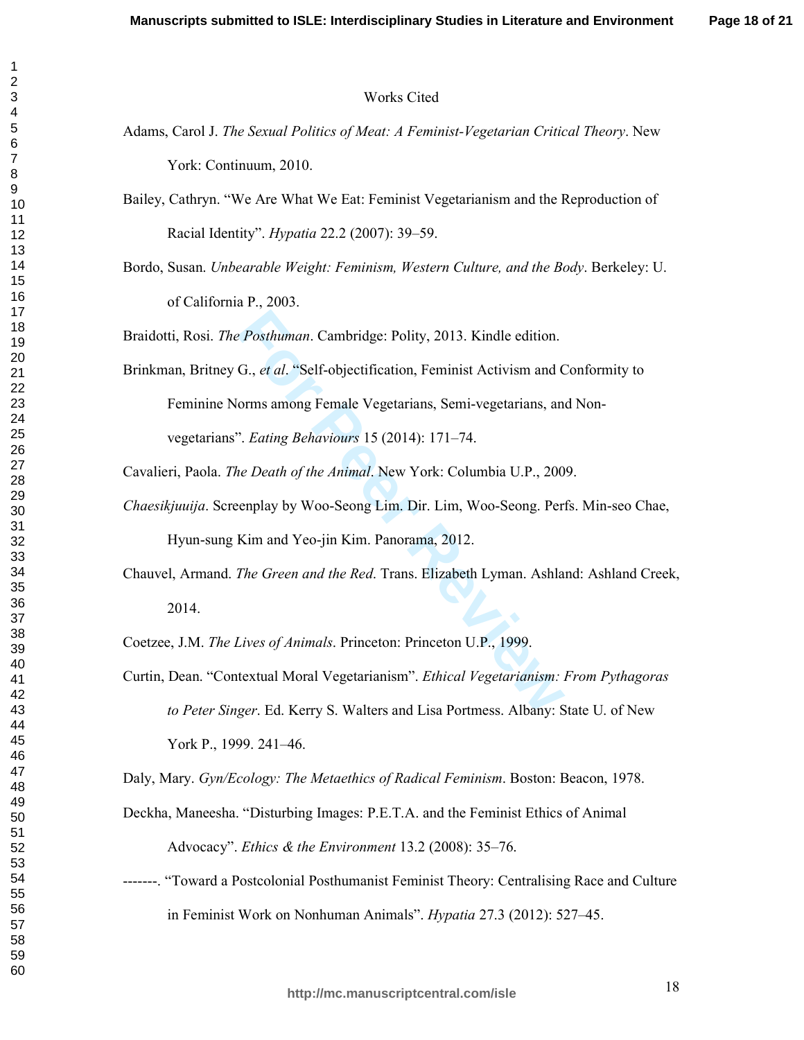#### **Works Cited**

- Adams, Carol J. The Sexual Politics of Meat: A Feminist-Vegetarian Critical Theory. New York: Continuum, 2010.
- Bailey, Cathryn. "We Are What We Eat: Feminist Vegetarianism and the Reproduction of Racial Identity". *Hypatia* 22.2 (2007): 39–59.
- Bordo, Susan. Unbearable Weight: Feminism, Western Culture, and the Body. Berkeley: U. of California P., 2003.

Braidotti, Rosi. The Posthuman. Cambridge: Polity, 2013. Kindle edition.

Brinkman, Britney G., et al. "Self-objectification, Feminist Activism and Conformity to Feminine Norms among Female Vegetarians, Semi-vegetarians, and Nonvegetarians". Eating Behaviours 15 (2014): 171–74.

Cavalieri, Paola. The Death of the Animal. New York: Columbia U.P., 2009.

- Chaesikjuuija. Screenplay by Woo-Seong Lim. Dir. Lim, Woo-Seong. Perfs. Min-seo Chae, Hyun-sung Kim and Yeo-jin Kim. Panorama, 2012.
- Chauvel, Armand. The Green and the Red. Trans. Elizabeth Lyman. Ashland: Ashland Creek, 2014.

Coetzee, J.M. The Lives of Animals. Princeton: Princeton U.P., 1999.

Curtin, Dean. "Contextual Moral Vegetarianism". *Ethical Vegetarianism: From Pythagoras* to Peter Singer. Ed. Kerry S. Walters and Lisa Portmess. Albany: State U. of New York P., 1999. 241–46.

Daly, Mary. Gyn/Ecology: The Metaethics of Radical Feminism. Boston: Beacon, 1978.

- Deckha, Maneesha. "Disturbing Images: P.E.T.A. and the Feminist Ethics of Animal Advocacy". Ethics & the Environment 13.2 (2008): 35–76.
- -------. "Toward a Postcolonial Posthumanist Feminist Theory: Centralising Race and Culture in Feminist Work on Nonhuman Animals". *Hypatia* 27.3 (2012): 527–45.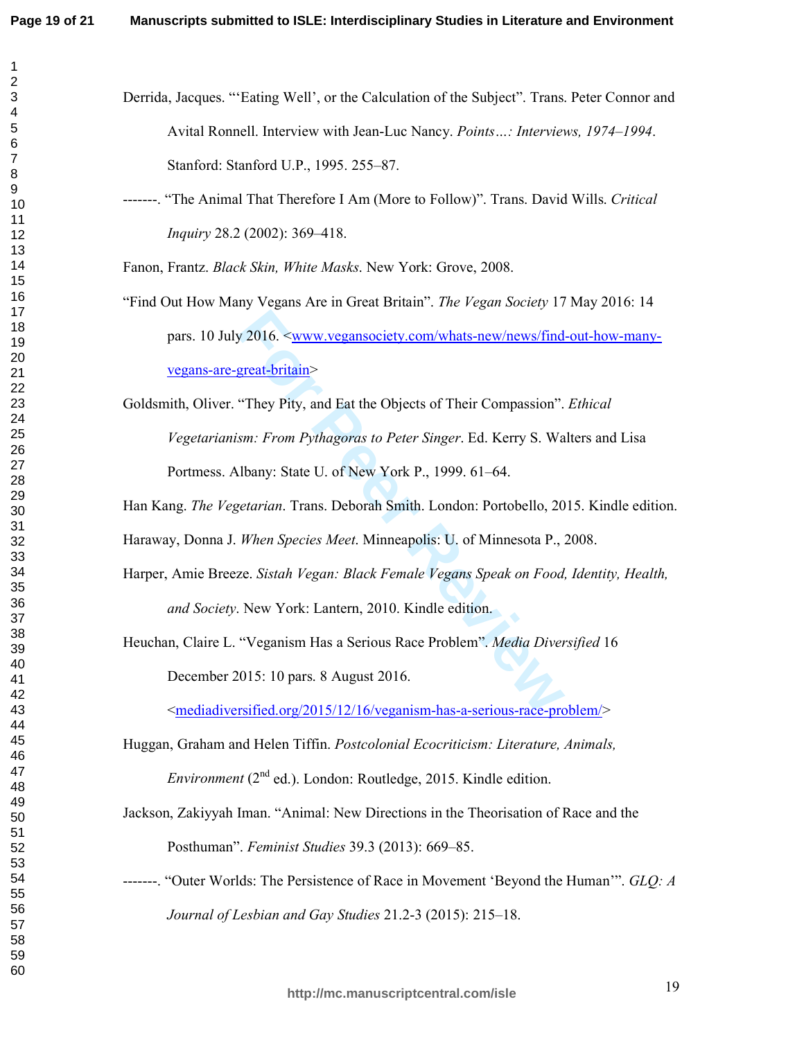$\mathbf{1}$  $\overline{2}$ 

| Derrida, Jacques. "Eating Well', or the Calculation of the Subject". Trans. Peter Connor and |
|----------------------------------------------------------------------------------------------|
| Avital Ronnell. Interview with Jean-Luc Nancy. <i>Points: Interviews</i> , 1974–1994.        |
| Stanford: Stanford U.P., 1995. 255–87.                                                       |

-------. "The Animal That Therefore I Am (More to Follow)". Trans. David Wills. Critical Inquiry 28.2 (2002): 369-418.

Fanon, Frantz. Black Skin, White Masks. New York: Grove, 2008.

"Find Out How Many Vegans Are in Great Britain". *The Vegan Society* 17 May 2016: 14 pars. 10 July 2016. <www.vegansociety.com/whats-new/news/find-out-how-manyvegans-are-great-britain>

Goldsmith, Oliver. "They Pity, and Eat the Objects of Their Compassion". Ethical Vegetarianism: From Pythagoras to Peter Singer. Ed. Kerry S. Walters and Lisa Portmess. Albany: State U. of New York P., 1999. 61–64.

Han Kang. The Vegetarian. Trans. Deborah Smith. London: Portobello, 2015. Kindle edition.

Haraway, Donna J. When Species Meet. Minneapolis: U. of Minnesota P., 2008.

- Harper, Amie Breeze. Sistah Vegan: Black Female Vegans Speak on Food, Identity, Health, and Society. New York: Lantern, 2010. Kindle edition.
- Heuchan, Claire L. "Veganism Has a Serious Race Problem". Media Diversified 16 December 2015: 10 pars. 8 August 2016.

<mediadiversified.org/2015/12/16/veganism-has-a-serious-race-problem/>

Huggan, Graham and Helen Tiffin, Postcolonial Ecocriticism: Literature, Animals,

*Environment* ( $2<sup>nd</sup>$  ed.). London: Routledge, 2015. Kindle edition.

- Jackson, Zakiyyah Iman. "Animal: New Directions in the Theorisation of Race and the Posthuman". Feminist Studies 39.3 (2013): 669-85.
- -------. "Outer Worlds: The Persistence of Race in Movement 'Beyond the Human'". GLO: A Journal of Lesbian and Gay Studies 21.2-3 (2015): 215–18.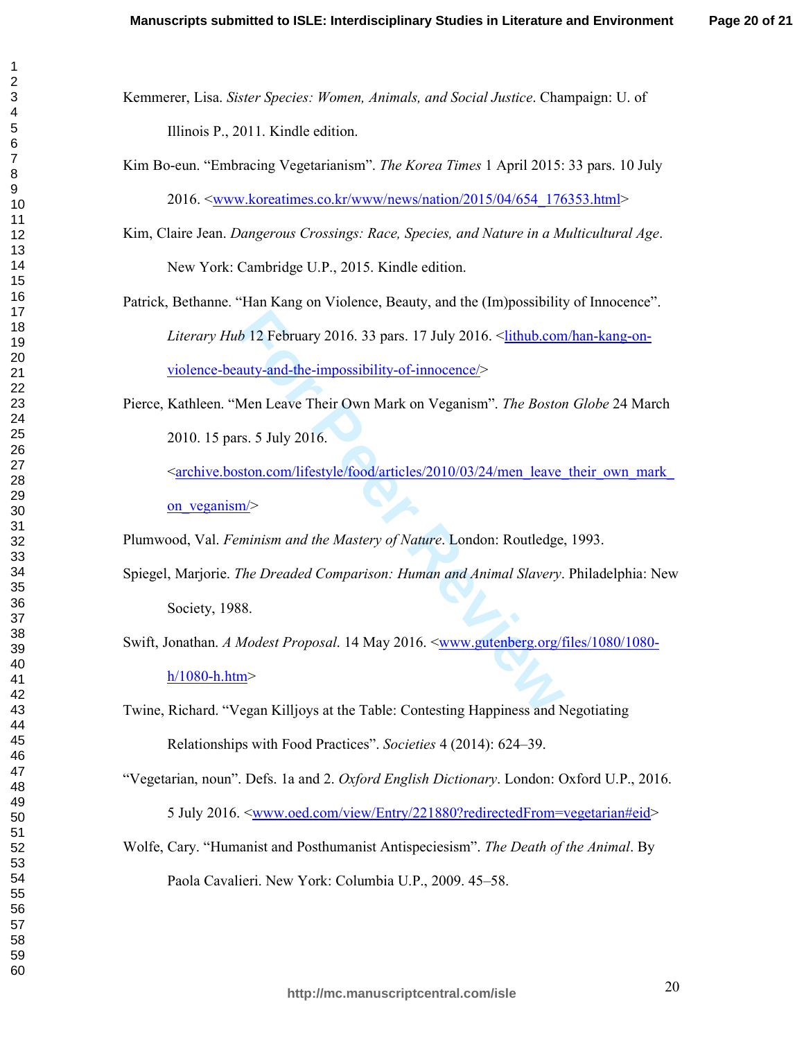- Kemmerer, Lisa. Sister Species: Women, Animals, and Social Justice. Champaign: U. of Illinois P., 2011. Kindle edition.
- Kim Bo-eun. "Embracing Vegetarianism". The Korea Times 1 April 2015: 33 pars. 10 July 2016. <www.koreatimes.co.kr/www/news/nation/2015/04/654 176353.html>
- Kim, Claire Jean. Dangerous Crossings: Race, Species, and Nature in a Multicultural Age. New York: Cambridge U.P., 2015. Kindle edition.

Patrick, Bethanne. "Han Kang on Violence, Beauty, and the (Im)possibility of Innocence". *Literary Hub* 12 February 2016. 33 pars. 17 July 2016. <aithub.com/han-kang-onviolence-beauty-and-the-impossibility-of-innocence/>

Pierce, Kathleen. "Men Leave Their Own Mark on Veganism". The Boston Globe 24 March 2010. 15 pars. 5 July 2016.

<archive.boston.com/lifestyle/food/articles/2010/03/24/men leave their own mark on veganism $>$ 

Plumwood, Val. Feminism and the Mastery of Nature. London: Routledge, 1993.

- Spiegel, Marjorie. The Dreaded Comparison: Human and Animal Slavery. Philadelphia: New Society, 1988.
- Swift, Jonathan. A Modest Proposal. 14 May 2016. <www.gutenberg.org/files/1080/1080 $h/1080$ -h.htm>

Twine, Richard. "Vegan Killjoys at the Table: Contesting Happiness and Negotiating Relationships with Food Practices". Societies 4 (2014): 624–39.

- "Vegetarian, noun". Defs. 1a and 2. Oxford English Dictionary. London: Oxford U.P., 2016. 5 July 2016. <<u>www.oed.com/view/Entry/221880?redirectedFrom=vegetarian#eid</u>>
- Wolfe, Cary. "Humanist and Posthumanist Antispeciesism". The Death of the Animal. By Paola Cavalieri. New York: Columbia U.P., 2009. 45–58.